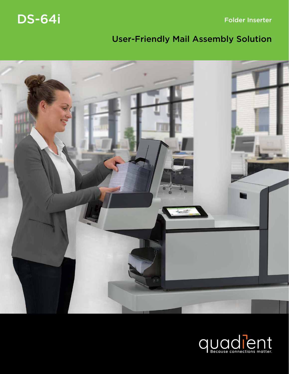DS-64i

Folder Inserter

# User-Friendly Mail Assembly Solution



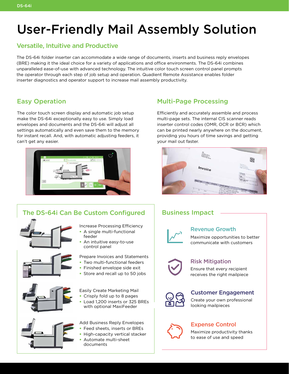# User-Friendly Mail Assembly Solution

### Versatile, Intuitive and Productive

The DS-64i folder inserter can accommodate a wide range of documents, inserts and business reply envelopes (BRE) making it the ideal choice for a variety of applications and office environments. The DS-64i combines unparalleled ease-of-use with advanced technology. The intuitive color touch screen control panel prompts the operator through each step of job setup and operation. Quadient Remote Assistance enables folder inserter diagnostics and operator support to increase mail assembly productivity.

### Easy Operation

The color touch screen display and automatic job setup make the DS-64i exceptionally easy to use. Simply load envelopes and documents and the DS-64i will adjust all settings automatically and even save them to the memory for instant recall. And, with automatic adjusting feeders, it can't get any easier.



### Multi-Page Processing

Efficiently and accurately assemble and process multi-page sets. The internal CIS scanner reads inserter control codes (OMR, OCR or BCR) which can be printed nearly anywhere on the document, providing you hours of time savings and getting your mail out faster.



### Business Impact



### Revenue Growth

Maximize opportunities to better communicate with customers



### Risk Mitigation

Ensure that every recipient receives the right mailpiece



#### Customer Engagement

Create your own professional looking mailpieces



### Expense Control

Maximize productivity thanks to ease of use and speed

## The DS-64i Can Be Custom Configured

feeder







An intuitive easy-to-use

Increase Processing Efficiency • A single multi-functional

- Prepare Invoices and Statements
- Two multi-functional feeders
- Finished envelope side exit
- Store and recall up to 50 jobs

Easily Create Marketing Mail

- Crisply fold up to 8 pages
- Load 1,200 inserts or 325 BREs with optional MaxiFeeder

Add Business Reply Envelopes

- Feed sheets, inserts or BREs
- High-capacity vertical stacker
- Automate multi-sheet documents



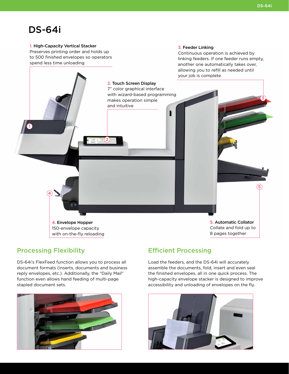3

5

## DS-64i

1

1. High-Capacity Vertical Stacker Preserves printing order and holds up to 500 finished envelopes so operators spend less time unloading

> 2. Touch Screen Display 7" color graphical interface with wizard-based programming

makes operation simple

and intuitive

2

#### 3. Feeder Linking

Continuous operation is achieved by linking feeders. If one feeder runs empty, another one automatically takes over, allowing you to refill as needed until your job is complete

4. Envelope Hopper 150-envelope capacity with on-the-fly reloading 5. Automatic Collator Collate and fold up to 8 pages together

#### Processing Flexibility

4

DS-64i's FlexFeed function allows you to process all document formats (inserts, documents and business reply envelopes, etc.). Additionally, the "Daily Mail" function even allows hand feeding of multi-page stapled document sets.



#### Efficient Processing

Load the feeders, and the DS-64i will accurately assemble the documents, fold, insert and even seal the finished envelopes, all in one quick process. The high-capacity envelope stacker is designed to improve accessibility and unloading of envelopes on the fly.